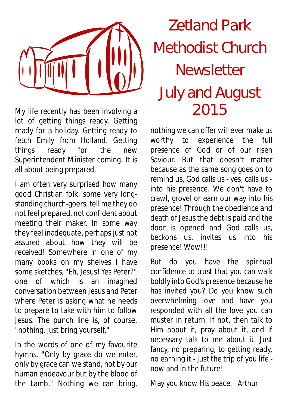

My life recently has been involving a  $2015$ lot of getting things ready. Getting ready for a holiday. Getting ready to fetch Emily from Holland. Getting things ready for the new Superintendent Minister coming. It is all about being prepared.

I am often very surprised how many good Christian folk, some very longstanding church-goers, tell me they do not feel prepared, not confident about meeting their maker. In some way they feel inadequate, perhaps just not assured about how they will be received! Somewhere in one of my many books on my shelves I have some sketches, "Eh, Jesus! Yes Peter?" one of which is an imagined conversation between Jesus and Peter where Peter is asking what he needs to prepare to take with him to follow Jesus. The punch line is, of course, "nothing, just bring yourself."

In the words of one of my favourite hymns, "Only by grace do we enter, only by grace can we stand, not by our human endeavour but by the blood of the Lamb." Nothing we can bring,

# Zetland Park Methodist Church Newsletter July and August

nothing we can offer will ever make us worthy to experience the full presence of God or of our risen Saviour. But that doesn't matter because as the same song goes on to remind us, God calls us - yes, calls us into his presence. We don't have to crawl, grovel or earn our way into his presence! Through the obedience and death of Jesus the debt is paid and the door is opened and God calls us, beckons us, invites us into his presence! Wow!!!

But do you have the spiritual confidence to trust that you can walk boldly into God's presence because he has invited you? Do you know such overwhelming love and have you responded with all the love you can muster in return. If not, then talk to Him about it, pray about it, and if necessary talk to me about it. Just fancy, no preparing, to getting ready, no earning it - just the trip of you life now and in the future!

May you know His peace. Arthur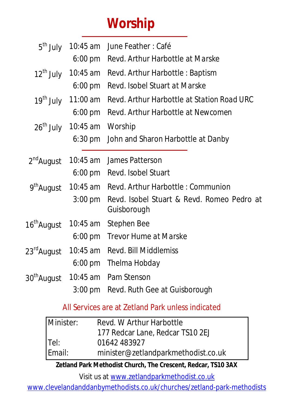# **Worship**

| 5 <sup>th</sup> July    |                                        | 10:45 am June Feather: Café                               |  |  |
|-------------------------|----------------------------------------|-----------------------------------------------------------|--|--|
|                         |                                        | 6:00 pm Revd. Arthur Harbottle at Marske                  |  |  |
| $12^{\text{th}}$ July   | 10:45 am                               | Revd. Arthur Harbottle: Baptism                           |  |  |
|                         | $6:00 \text{ pm}$                      | Revd. Isobel Stuart at Marske                             |  |  |
| 19 <sup>th</sup> July   | 11:00 am                               | Revd. Arthur Harbottle at Station Road URC                |  |  |
|                         | $6:00 \text{ pm}$                      | Revd. Arthur Harbottle at Newcomen                        |  |  |
|                         | 26 <sup>th</sup> July 10:45 am Worship |                                                           |  |  |
|                         | $6:30 \text{ pm}$                      | John and Sharon Harbottle at Danby                        |  |  |
| $2nd$ August            |                                        | 10:45 am James Patterson                                  |  |  |
|                         |                                        | 6:00 pm Revd. Isobel Stuart                               |  |  |
| 9 <sup>th</sup> August  | 10:45 am                               | Revd. Arthur Harbottle: Communion                         |  |  |
|                         | $3:00 \text{ pm}$                      | Revd. Isobel Stuart & Revd. Romeo Pedro at<br>Guisborough |  |  |
| 16 <sup>th</sup> August | 10:45 am                               | Stephen Bee                                               |  |  |
|                         | $6:00 \text{ pm}$                      | Trevor Hume at Marske                                     |  |  |
| 23 <sup>rd</sup> August |                                        | 10:45 am Revd. Bill Middlemiss                            |  |  |
|                         |                                        | 6:00 pm Thelma Hobday                                     |  |  |
| 30 <sup>th</sup> August |                                        | 10:45 am Pam Stenson                                      |  |  |
|                         | $3:00 \text{ pm}$                      | Revd. Ruth Gee at Guisborough                             |  |  |

## All Services are at Zetland Park unless indicated

| Minister: | Revd. W Arthur Harbottle            |  |  |
|-----------|-------------------------------------|--|--|
|           | 177 Redcar Lane, Redcar TS10 2EJ    |  |  |
| Tel:      | 01642 483927                        |  |  |
| Email:    | minister@zetlandparkmethodist.co.uk |  |  |

**Zetland Park Methodist Church, The Crescent, Redcar, TS10 3AX**

Visit us at www.zetlandparkmethodist.co.uk

www.clevelandanddanbymethodists.co.uk/churches/zetland-park-methodists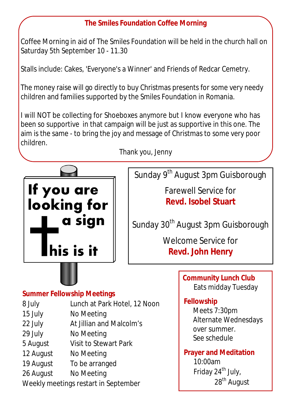#### **The Smiles Foundation Coffee Morning**

Coffee Morning in aid of The Smiles Foundation will be held in the church hall on Saturday 5th September 10 - 11.30

Stalls include: Cakes, 'Everyone's a Winner' and Friends of Redcar Cemetry.

The money raise will go directly to buy Christmas presents for some very needy children and families supported by the Smiles Foundation in Romania.

I will NOT be collecting for Shoeboxes anymore but I know everyone who has been so supportive in that campaign will be just as supportive in this one. The aim is the same - to bring the joy and message of Christmas to some very poor children.



Thank you, Jenny

Sunday 9<sup>th</sup> August 3pm Guisborough

Farewell Service for **Revd. Isobel Stuart**

Sunday 30<sup>th</sup> August 3pm Guisborough

Welcome Service for **Revd. John Henry**

#### **Summer Fellowship Meetings**

- 8 July Lunch at Park Hotel, 12 Noon
- 15 July No Meeting
- 22 July At Jillian and Malcolm's
- 29 July No Meeting
- 5 August Visit to Stewart Park
- 12 August No Meeting
- 19 August To be arranged
- 26 August No Meeting

Weekly meetings restart in September

**Community Lunch Club** Eats midday Tuesday

#### **Fellowship**

Meets 7:30pm Alternate Wednesdays over summer. See schedule

**Prayer and Meditation**  10:00am Friday 24<sup>th</sup> July, 28<sup>th</sup> August